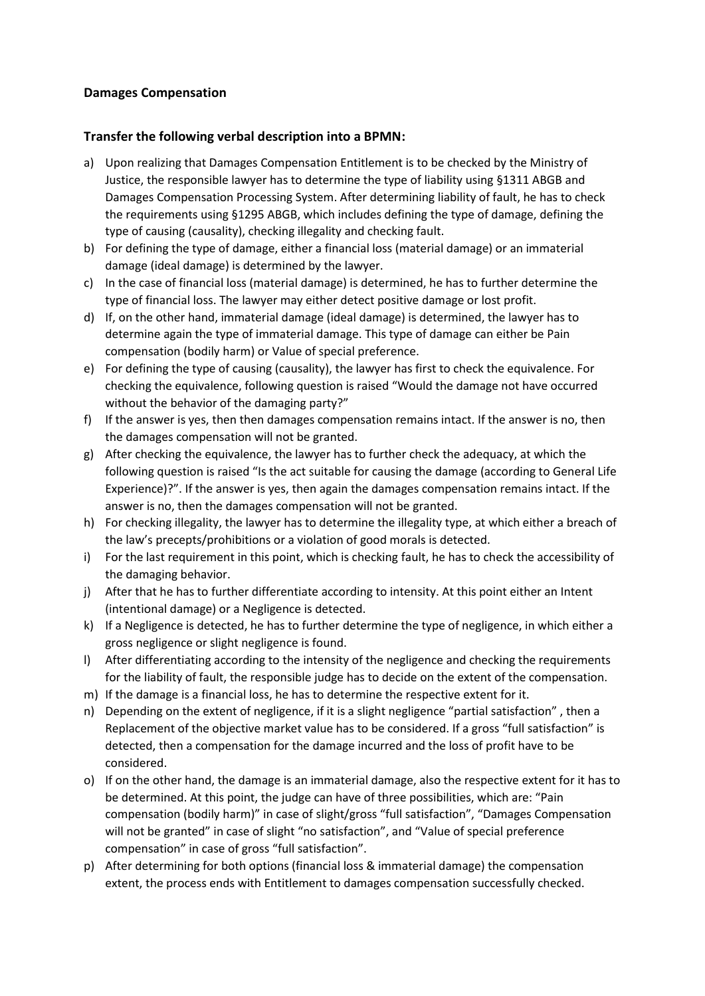## **Damages Compensation**

## **Transfer the following verbal description into a BPMN:**

- a) Upon realizing that Damages Compensation Entitlement is to be checked by the Ministry of Justice, the responsible lawyer has to determine the type of liability using §1311 ABGB and Damages Compensation Processing System. After determining liability of fault, he has to check the requirements using §1295 ABGB, which includes defining the type of damage, defining the type of causing (causality), checking illegality and checking fault.
- b) For defining the type of damage, either a financial loss (material damage) or an immaterial damage (ideal damage) is determined by the lawyer.
- c) In the case of financial loss (material damage) is determined, he has to further determine the type of financial loss. The lawyer may either detect positive damage or lost profit.
- d) If, on the other hand, immaterial damage (ideal damage) is determined, the lawyer has to determine again the type of immaterial damage. This type of damage can either be Pain compensation (bodily harm) or Value of special preference.
- e) For defining the type of causing (causality), the lawyer has first to check the equivalence. For checking the equivalence, following question is raised "Would the damage not have occurred without the behavior of the damaging party?"
- f) If the answer is yes, then then damages compensation remains intact. If the answer is no, then the damages compensation will not be granted.
- g) After checking the equivalence, the lawyer has to further check the adequacy, at which the following question is raised "Is the act suitable for causing the damage (according to General Life Experience)?". If the answer is yes, then again the damages compensation remains intact. If the answer is no, then the damages compensation will not be granted.
- h) For checking illegality, the lawyer has to determine the illegality type, at which either a breach of the law's precepts/prohibitions or a violation of good morals is detected.
- i) For the last requirement in this point, which is checking fault, he has to check the accessibility of the damaging behavior.
- j) After that he has to further differentiate according to intensity. At this point either an Intent (intentional damage) or a Negligence is detected.
- k) If a Negligence is detected, he has to further determine the type of negligence, in which either a gross negligence or slight negligence is found.
- l) After differentiating according to the intensity of the negligence and checking the requirements for the liability of fault, the responsible judge has to decide on the extent of the compensation.
- m) If the damage is a financial loss, he has to determine the respective extent for it.
- n) Depending on the extent of negligence, if it is a slight negligence "partial satisfaction" , then a Replacement of the objective market value has to be considered. If a gross "full satisfaction" is detected, then a compensation for the damage incurred and the loss of profit have to be considered.
- o) If on the other hand, the damage is an immaterial damage, also the respective extent for it has to be determined. At this point, the judge can have of three possibilities, which are: "Pain compensation (bodily harm)" in case of slight/gross "full satisfaction", "Damages Compensation will not be granted" in case of slight "no satisfaction", and "Value of special preference compensation" in case of gross "full satisfaction".
- p) After determining for both options (financial loss & immaterial damage) the compensation extent, the process ends with Entitlement to damages compensation successfully checked.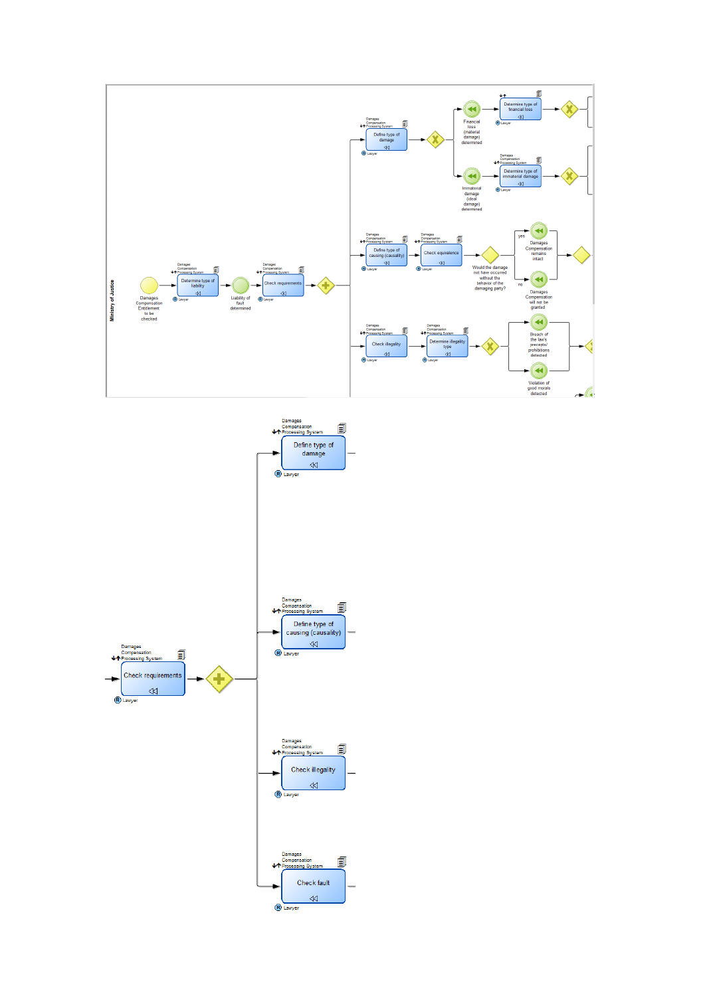